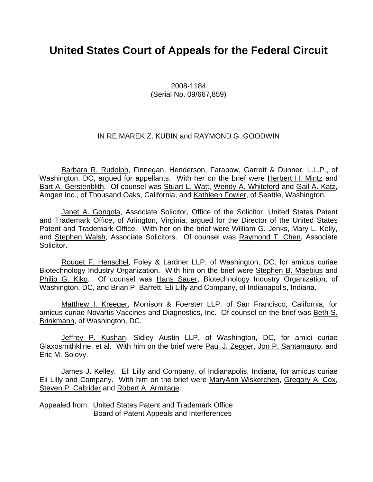# **United States Court of Appeals for the Federal Circuit**

2008-1184 (Serial No. 09/667,859)

## IN RE MAREK Z. KUBIN and RAYMOND G. GOODWIN

 Barbara R. Rudolph, Finnegan, Henderson, Farabow, Garrett & Dunner, L.L.P., of Washington, DC, argued for appellants. With her on the brief were Herbert H. Mintz and Bart A. Gerstenblith. Of counsel was Stuart L. Watt, Wendy A. Whiteford and Gail A. Katz, Amgen Inc., of Thousand Oaks, California, and Kathleen Fowler, of Seattle, Washington.

 Janet A. Gongola, Associate Solicitor, Office of the Solicitor, United States Patent and Trademark Office, of Arlington, Virginia, argued for the Director of the United States Patent and Trademark Office. With her on the brief were William G. Jenks, Mary L. Kelly, and Stephen Walsh, Associate Solicitors. Of counsel was Raymond T. Chen, Associate Solicitor.

 Rouget F. Henschel, Foley & Lardner LLP, of Washington, DC, for amicus curiae Biotechnology Industry Organization. With him on the brief were Stephen B. Maebius and Philip G. Kiko. Of counsel was Hans Sauer, Biotechnology Industry Organization, of Washington, DC, and Brian P. Barrett, Eli Lilly and Company, of Indianapolis, Indiana.

Matthew I. Kreeger, Morrison & Foerster LLP, of San Francisco, California, for amicus curiae Novartis Vaccines and Diagnostics, Inc. Of counsel on the brief was Beth S. Brinkmann, of Washington, DC.

Jeffrey P. Kushan, Sidley Austin LLP, of Washington, DC, for amici curiae Glaxosmithkline, et al. With him on the brief were Paul J. Zegger, Jon P. Santamauro, and Eric M. Solovy.

 James J. Kelley, Eli Lilly and Company, of Indianapolis, Indiana, for amicus curiae Eli Lilly and Company. With him on the brief were MaryAnn Wiskerchen, Gregory A. Cox, Steven P. Caltrider and Robert A. Armitage.

Appealed from: United States Patent and Trademark Office Board of Patent Appeals and Interferences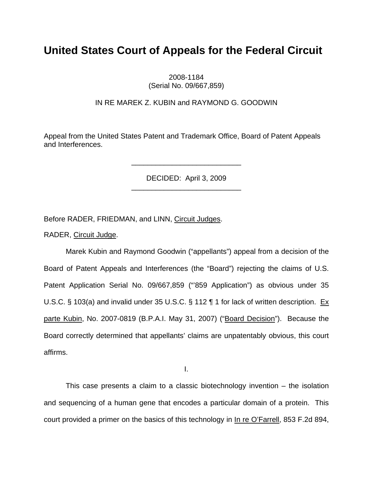## **United States Court of Appeals for the Federal Circuit**

2008-1184 (Serial No. 09/667,859)

## IN RE MAREK Z. KUBIN and RAYMOND G. GOODWIN

Appeal from the United States Patent and Trademark Office, Board of Patent Appeals and Interferences.

> DECIDED: April 3, 2009 \_\_\_\_\_\_\_\_\_\_\_\_\_\_\_\_\_\_\_\_\_\_\_\_\_\_\_

> \_\_\_\_\_\_\_\_\_\_\_\_\_\_\_\_\_\_\_\_\_\_\_\_\_\_\_

Before RADER, FRIEDMAN, and LINN, Circuit Judges.

RADER, Circuit Judge.

 Marek Kubin and Raymond Goodwin ("appellants") appeal from a decision of the Board of Patent Appeals and Interferences (the "Board") rejecting the claims of U.S. Patent Application Serial No. 09/667,859 ("'859 Application") as obvious under 35 U.S.C. § 103(a) and invalid under 35 U.S.C. § 112 ¶ 1 for lack of written description. Ex parte Kubin, No. 2007-0819 (B.P.A.I. May 31, 2007) ("Board Decision"). Because the Board correctly determined that appellants' claims are unpatentably obvious, this court affirms.

I.

This case presents a claim to a classic biotechnology invention – the isolation and sequencing of a human gene that encodes a particular domain of a protein. This court provided a primer on the basics of this technology in In re O'Farrell, 853 F.2d 894,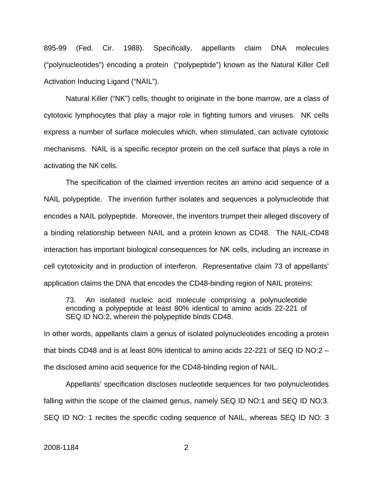895-99 (Fed. Cir. 1988). Specifically, appellants claim DNA molecules ("polynucleotides") encoding a protein ("polypeptide") known as the Natural Killer Cell Activation Inducing Ligand ("NAIL").

Natural Killer ("NK") cells, thought to originate in the bone marrow, are a class of cytotoxic lymphocytes that play a major role in fighting tumors and viruses. NK cells express a number of surface molecules which, when stimulated, can activate cytotoxic mechanisms. NAIL is a specific receptor protein on the cell surface that plays a role in activating the NK cells.

The specification of the claimed invention recites an amino acid sequence of a NAIL polypeptide. The invention further isolates and sequences a polynucleotide that encodes a NAIL polypeptide. Moreover, the inventors trumpet their alleged discovery of a binding relationship between NAIL and a protein known as CD48. The NAIL-CD48 interaction has important biological consequences for NK cells, including an increase in cell cytotoxicity and in production of interferon. Representative claim 73 of appellants' application claims the DNA that encodes the CD48-binding region of NAIL proteins:

73. An isolated nucleic acid molecule comprising a polynucleotide encoding a polypeptide at least 80% identical to amino acids 22-221 of SEQ ID NO:2, wherein the polypeptide binds CD48.

In other words, appellants claim a genus of isolated polynucleotides encoding a protein that binds CD48 and is at least 80% identical to amino acids 22-221 of SEQ ID NO:2 – the disclosed amino acid sequence for the CD48-binding region of NAIL.

 Appellants' specification discloses nucleotide sequences for two polynucleotides falling within the scope of the claimed genus, namely SEQ ID NO:1 and SEQ ID NO:3. SEQ ID NO: 1 recites the specific coding sequence of NAIL, whereas SEQ ID NO: 3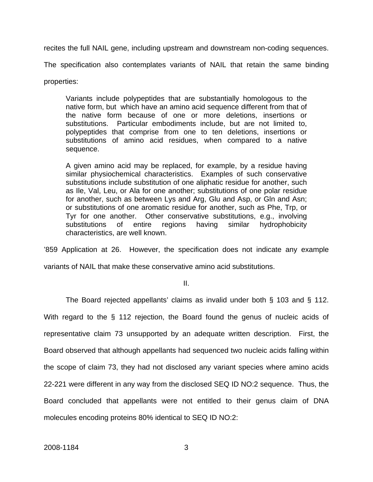recites the full NAIL gene, including upstream and downstream non-coding sequences.

The specification also contemplates variants of NAIL that retain the same binding

properties:

Variants include polypeptides that are substantially homologous to the native form, but which have an amino acid sequence different from that of the native form because of one or more deletions, insertions or substitutions. Particular embodiments include, but are not limited to, polypeptides that comprise from one to ten deletions, insertions or substitutions of amino acid residues, when compared to a native sequence.

A given amino acid may be replaced, for example, by a residue having similar physiochemical characteristics. Examples of such conservative substitutions include substitution of one aliphatic residue for another, such as Ile, Val, Leu, or Ala for one another; substitutions of one polar residue for another, such as between Lys and Arg, Glu and Asp, or Gln and Asn; or substitutions of one aromatic residue for another, such as Phe, Trp, or Tyr for one another. Other conservative substitutions, e.g., involving substitutions of entire regions having similar hydrophobicity characteristics, are well known.

'859 Application at 26. However, the specification does not indicate any example variants of NAIL that make these conservative amino acid substitutions.

II.

 The Board rejected appellants' claims as invalid under both § 103 and § 112. With regard to the § 112 rejection, the Board found the genus of nucleic acids of representative claim 73 unsupported by an adequate written description. First, the Board observed that although appellants had sequenced two nucleic acids falling within the scope of claim 73, they had not disclosed any variant species where amino acids 22-221 were different in any way from the disclosed SEQ ID NO:2 sequence. Thus, the Board concluded that appellants were not entitled to their genus claim of DNA molecules encoding proteins 80% identical to SEQ ID NO:2: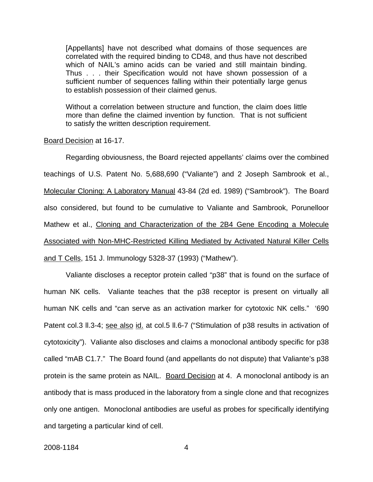[Appellants] have not described what domains of those sequences are correlated with the required binding to CD48, and thus have not described which of NAIL's amino acids can be varied and still maintain binding. Thus . . . their Specification would not have shown possession of a sufficient number of sequences falling within their potentially large genus to establish possession of their claimed genus.

Without a correlation between structure and function, the claim does little more than define the claimed invention by function. That is not sufficient to satisfy the written description requirement.

Board Decision at 16-17.

 Regarding obviousness, the Board rejected appellants' claims over the combined teachings of U.S. Patent No. 5,688,690 ("Valiante") and 2 Joseph Sambrook et al., Molecular Cloning: A Laboratory Manual 43-84 (2d ed. 1989) ("Sambrook"). The Board also considered, but found to be cumulative to Valiante and Sambrook, Porunelloor Mathew et al., Cloning and Characterization of the 2B4 Gene Encoding a Molecule Associated with Non-MHC-Restricted Killing Mediated by Activated Natural Killer Cells and T Cells, 151 J. Immunology 5328-37 (1993) ("Mathew").

 Valiante discloses a receptor protein called "p38" that is found on the surface of human NK cells. Valiante teaches that the p38 receptor is present on virtually all human NK cells and "can serve as an activation marker for cytotoxic NK cells." '690 Patent col.3 II.3-4; see also id. at col.5 II.6-7 ("Stimulation of p38 results in activation of cytotoxicity"). Valiante also discloses and claims a monoclonal antibody specific for p38 called "mAB C1.7." The Board found (and appellants do not dispute) that Valiante's p38 protein is the same protein as NAIL. Board Decision at 4. A monoclonal antibody is an antibody that is mass produced in the laboratory from a single clone and that recognizes only one antigen. Monoclonal antibodies are useful as probes for specifically identifying and targeting a particular kind of cell.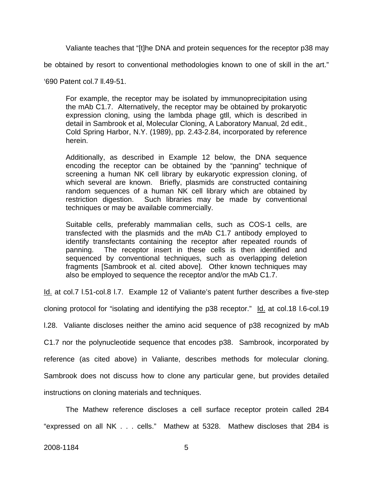Valiante teaches that "[t]he DNA and protein sequences for the receptor p38 may

be obtained by resort to conventional methodologies known to one of skill in the art."

'690 Patent col.7 ll.49-51.

For example, the receptor may be isolated by immunoprecipitation using the mAb C1.7. Alternatively, the receptor may be obtained by prokaryotic expression cloning, using the lambda phage gtll, which is described in detail in Sambrook et al, Molecular Cloning, A Laboratory Manual, 2d edit., Cold Spring Harbor, N.Y. (1989), pp. 2.43-2.84, incorporated by reference herein.

Additionally, as described in Example 12 below, the DNA sequence encoding the receptor can be obtained by the "panning" technique of screening a human NK cell library by eukaryotic expression cloning, of which several are known. Briefly, plasmids are constructed containing random sequences of a human NK cell library which are obtained by restriction digestion. Such libraries may be made by conventional techniques or may be available commercially.

Suitable cells, preferably mammalian cells, such as COS-1 cells, are transfected with the plasmids and the mAb C1.7 antibody employed to identify transfectants containing the receptor after repeated rounds of panning. The receptor insert in these cells is then identified and sequenced by conventional techniques, such as overlapping deletion fragments [Sambrook et al. cited above]. Other known techniques may also be employed to sequence the receptor and/or the mAb C1.7.

Id. at col.7 l.51-col.8 l.7. Example 12 of Valiante's patent further describes a five-step

cloning protocol for "isolating and identifying the p38 receptor." Id. at col.18 l.6-col.19

l.28. Valiante discloses neither the amino acid sequence of p38 recognized by mAb

C1.7 nor the polynucleotide sequence that encodes p38. Sambrook, incorporated by

reference (as cited above) in Valiante, describes methods for molecular cloning.

Sambrook does not discuss how to clone any particular gene, but provides detailed

instructions on cloning materials and techniques.

 The Mathew reference discloses a cell surface receptor protein called 2B4 "expressed on all NK . . . cells." Mathew at 5328. Mathew discloses that 2B4 is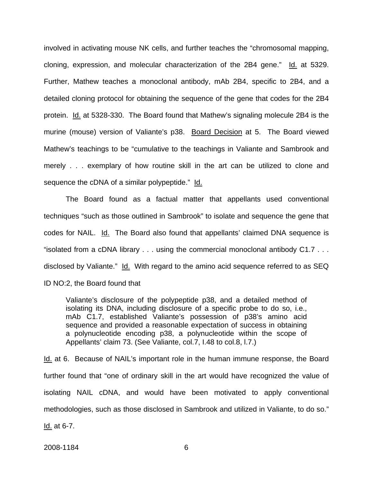involved in activating mouse NK cells, and further teaches the "chromosomal mapping, cloning, expression, and molecular characterization of the 2B4 gene." Id. at 5329. Further, Mathew teaches a monoclonal antibody, mAb 2B4, specific to 2B4, and a detailed cloning protocol for obtaining the sequence of the gene that codes for the 2B4 protein. Id. at 5328-330. The Board found that Mathew's signaling molecule 2B4 is the murine (mouse) version of Valiante's p38. Board Decision at 5. The Board viewed Mathew's teachings to be "cumulative to the teachings in Valiante and Sambrook and merely . . . exemplary of how routine skill in the art can be utilized to clone and sequence the cDNA of a similar polypeptide." Id.

The Board found as a factual matter that appellants used conventional techniques "such as those outlined in Sambrook" to isolate and sequence the gene that codes for NAIL. Id. The Board also found that appellants' claimed DNA sequence is "isolated from a cDNA library . . . using the commercial monoclonal antibody C1.7 . . . disclosed by Valiante." Id. With regard to the amino acid sequence referred to as SEQ ID NO:2, the Board found that

Valiante's disclosure of the polypeptide p38, and a detailed method of isolating its DNA, including disclosure of a specific probe to do so, i.e., mAb C1.7, established Valiante's possession of p38's amino acid sequence and provided a reasonable expectation of success in obtaining a polynucleotide encoding p38, a polynucleotide within the scope of Appellants' claim 73. (See Valiante, col.7, I.48 to col.8, l.7.)

Id. at 6. Because of NAIL's important role in the human immune response, the Board further found that "one of ordinary skill in the art would have recognized the value of isolating NAIL cDNA, and would have been motivated to apply conventional methodologies, such as those disclosed in Sambrook and utilized in Valiante, to do so." Id. at 6-7.

2008-1184 6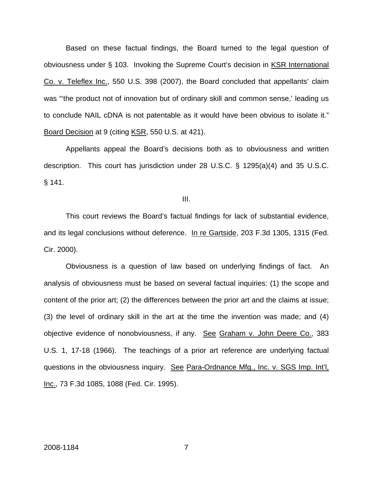Based on these factual findings, the Board turned to the legal question of obviousness under § 103. Invoking the Supreme Court's decision in KSR International Co. v. Teleflex Inc., 550 U.S. 398 (2007), the Board concluded that appellants' claim was "'the product not of innovation but of ordinary skill and common sense,' leading us to conclude NAIL cDNA is not patentable as it would have been obvious to isolate it." Board Decision at 9 (citing KSR, 550 U.S. at 421).

Appellants appeal the Board's decisions both as to obviousness and written description. This court has jurisdiction under 28 U.S.C. § 1295(a)(4) and 35 U.S.C. § 141.

III.

This court reviews the Board's factual findings for lack of substantial evidence, and its legal conclusions without deference. In re Gartside, 203 F.3d 1305, 1315 (Fed. Cir. 2000).

Obviousness is a question of law based on underlying findings of fact. An analysis of obviousness must be based on several factual inquiries: (1) the scope and content of the prior art; (2) the differences between the prior art and the claims at issue; (3) the level of ordinary skill in the art at the time the invention was made; and (4) objective evidence of nonobviousness, if any. See Graham v. John Deere Co., 383 U.S. 1, 17-18 (1966). The teachings of a prior art reference are underlying factual questions in the obviousness inquiry. See Para-Ordnance Mfg., Inc. v. SGS Imp. Int'l, Inc., 73 F.3d 1085, 1088 (Fed. Cir. 1995).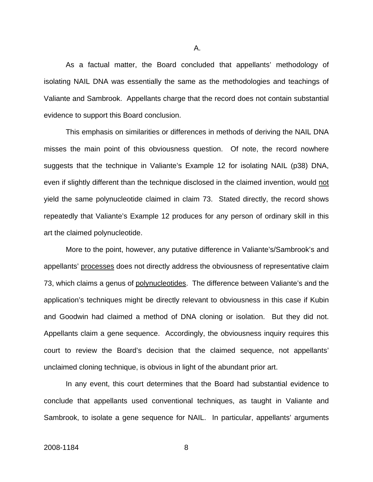As a factual matter, the Board concluded that appellants' methodology of isolating NAIL DNA was essentially the same as the methodologies and teachings of Valiante and Sambrook. Appellants charge that the record does not contain substantial evidence to support this Board conclusion.

This emphasis on similarities or differences in methods of deriving the NAIL DNA misses the main point of this obviousness question. Of note, the record nowhere suggests that the technique in Valiante's Example 12 for isolating NAIL (p38) DNA, even if slightly different than the technique disclosed in the claimed invention, would not yield the same polynucleotide claimed in claim 73. Stated directly, the record shows repeatedly that Valiante's Example 12 produces for any person of ordinary skill in this art the claimed polynucleotide.

More to the point, however, any putative difference in Valiante's/Sambrook's and appellants' processes does not directly address the obviousness of representative claim 73, which claims a genus of polynucleotides. The difference between Valiante's and the application's techniques might be directly relevant to obviousness in this case if Kubin and Goodwin had claimed a method of DNA cloning or isolation. But they did not. Appellants claim a gene sequence. Accordingly, the obviousness inquiry requires this court to review the Board's decision that the claimed sequence, not appellants' unclaimed cloning technique, is obvious in light of the abundant prior art.

In any event, this court determines that the Board had substantial evidence to conclude that appellants used conventional techniques, as taught in Valiante and Sambrook, to isolate a gene sequence for NAIL. In particular, appellants' arguments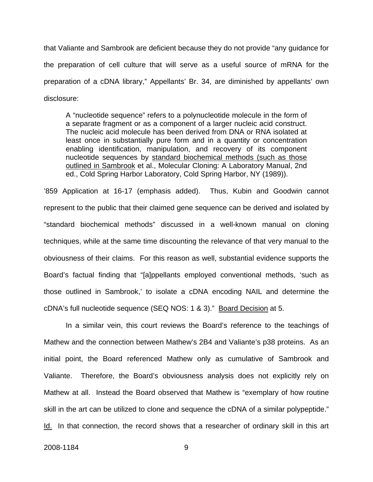that Valiante and Sambrook are deficient because they do not provide "any guidance for the preparation of cell culture that will serve as a useful source of mRNA for the preparation of a cDNA library," Appellants' Br. 34, are diminished by appellants' own disclosure:

A "nucleotide sequence" refers to a polynucleotide molecule in the form of a separate fragment or as a component of a larger nucleic acid construct. The nucleic acid molecule has been derived from DNA or RNA isolated at least once in substantially pure form and in a quantity or concentration enabling identification, manipulation, and recovery of its component nucleotide sequences by standard biochemical methods (such as those outlined in Sambrook et al., Molecular Cloning: A Laboratory Manual, 2nd ed., Cold Spring Harbor Laboratory, Cold Spring Harbor, NY (1989)).

'859 Application at 16-17 (emphasis added). Thus, Kubin and Goodwin cannot represent to the public that their claimed gene sequence can be derived and isolated by "standard biochemical methods" discussed in a well-known manual on cloning techniques, while at the same time discounting the relevance of that very manual to the obviousness of their claims. For this reason as well, substantial evidence supports the Board's factual finding that "[a]ppellants employed conventional methods, 'such as those outlined in Sambrook,' to isolate a cDNA encoding NAIL and determine the cDNA's full nucleotide sequence (SEQ NOS: 1 & 3)." Board Decision at 5.

In a similar vein, this court reviews the Board's reference to the teachings of Mathew and the connection between Mathew's 2B4 and Valiante's p38 proteins. As an initial point, the Board referenced Mathew only as cumulative of Sambrook and Valiante. Therefore, the Board's obviousness analysis does not explicitly rely on Mathew at all. Instead the Board observed that Mathew is "exemplary of how routine skill in the art can be utilized to clone and sequence the cDNA of a similar polypeptide." Id. In that connection, the record shows that a researcher of ordinary skill in this art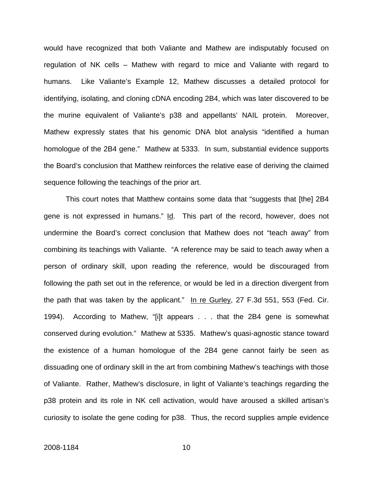would have recognized that both Valiante and Mathew are indisputably focused on regulation of NK cells – Mathew with regard to mice and Valiante with regard to humans. Like Valiante's Example 12, Mathew discusses a detailed protocol for identifying, isolating, and cloning cDNA encoding 2B4, which was later discovered to be the murine equivalent of Valiante's p38 and appellants' NAIL protein. Moreover, Mathew expressly states that his genomic DNA blot analysis "identified a human homologue of the 2B4 gene." Mathew at 5333. In sum, substantial evidence supports the Board's conclusion that Matthew reinforces the relative ease of deriving the claimed sequence following the teachings of the prior art.

This court notes that Matthew contains some data that "suggests that [the] 2B4 gene is not expressed in humans." Id. This part of the record, however, does not undermine the Board's correct conclusion that Mathew does not "teach away" from combining its teachings with Valiante. "A reference may be said to teach away when a person of ordinary skill, upon reading the reference, would be discouraged from following the path set out in the reference, or would be led in a direction divergent from the path that was taken by the applicant." In re Gurley, 27 F.3d 551, 553 (Fed. Cir. 1994). According to Mathew, "[i]t appears . . . that the 2B4 gene is somewhat conserved during evolution." Mathew at 5335. Mathew's quasi-agnostic stance toward the existence of a human homologue of the 2B4 gene cannot fairly be seen as dissuading one of ordinary skill in the art from combining Mathew's teachings with those of Valiante. Rather, Mathew's disclosure, in light of Valiante's teachings regarding the p38 protein and its role in NK cell activation, would have aroused a skilled artisan's curiosity to isolate the gene coding for p38. Thus, the record supplies ample evidence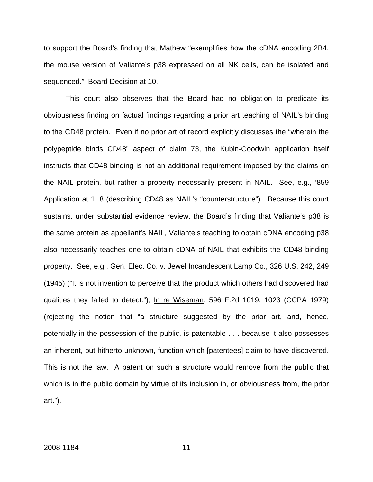to support the Board's finding that Mathew "exemplifies how the cDNA encoding 2B4, the mouse version of Valiante's p38 expressed on all NK cells, can be isolated and sequenced." Board Decision at 10.

This court also observes that the Board had no obligation to predicate its obviousness finding on factual findings regarding a prior art teaching of NAIL's binding to the CD48 protein. Even if no prior art of record explicitly discusses the "wherein the polypeptide binds CD48" aspect of claim 73, the Kubin-Goodwin application itself instructs that CD48 binding is not an additional requirement imposed by the claims on the NAIL protein, but rather a property necessarily present in NAIL. See, e.g., '859 Application at 1, 8 (describing CD48 as NAIL's "counterstructure"). Because this court sustains, under substantial evidence review, the Board's finding that Valiante's p38 is the same protein as appellant's NAIL, Valiante's teaching to obtain cDNA encoding p38 also necessarily teaches one to obtain cDNA of NAIL that exhibits the CD48 binding property. See, e.g., Gen. Elec. Co. v. Jewel Incandescent Lamp Co., 326 U.S. 242, 249 (1945) ("It is not invention to perceive that the product which others had discovered had qualities they failed to detect."); In re Wiseman, 596 F.2d 1019, 1023 (CCPA 1979) (rejecting the notion that "a structure suggested by the prior art, and, hence, potentially in the possession of the public, is patentable . . . because it also possesses an inherent, but hitherto unknown, function which [patentees] claim to have discovered. This is not the law. A patent on such a structure would remove from the public that which is in the public domain by virtue of its inclusion in, or obviousness from, the prior art.").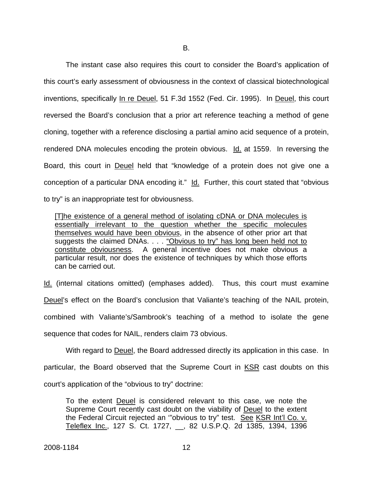The instant case also requires this court to consider the Board's application of this court's early assessment of obviousness in the context of classical biotechnological inventions, specifically In re Deuel, 51 F.3d 1552 (Fed. Cir. 1995). In Deuel, this court reversed the Board's conclusion that a prior art reference teaching a method of gene cloning, together with a reference disclosing a partial amino acid sequence of a protein, rendered DNA molecules encoding the protein obvious. Id. at 1559. In reversing the Board, this court in Deuel held that "knowledge of a protein does not give one a conception of a particular DNA encoding it." Id. Further, this court stated that "obvious to try" is an inappropriate test for obviousness.

[T]he existence of a general method of isolating cDNA or DNA molecules is essentially irrelevant to the question whether the specific molecules themselves would have been obvious, in the absence of other prior art that suggests the claimed DNAs. . . . "Obvious to try" has long been held not to constitute obviousness. A general incentive does not make obvious a particular result, nor does the existence of techniques by which those efforts can be carried out.

Id. (internal citations omitted) (emphases added). Thus, this court must examine Deuel's effect on the Board's conclusion that Valiante's teaching of the NAIL protein, combined with Valiante's/Sambrook's teaching of a method to isolate the gene sequence that codes for NAIL, renders claim 73 obvious.

 With regard to Deuel, the Board addressed directly its application in this case. In particular, the Board observed that the Supreme Court in KSR cast doubts on this court's application of the "obvious to try" doctrine:

To the extent Deuel is considered relevant to this case, we note the Supreme Court recently cast doubt on the viability of Deuel to the extent the Federal Circuit rejected an "obvious to try" test. See KSR Int'l Co. v. Teleflex Inc., 127 S. Ct. 1727, \_\_, 82 U.S.P.Q. 2d 1385, 1394, 1396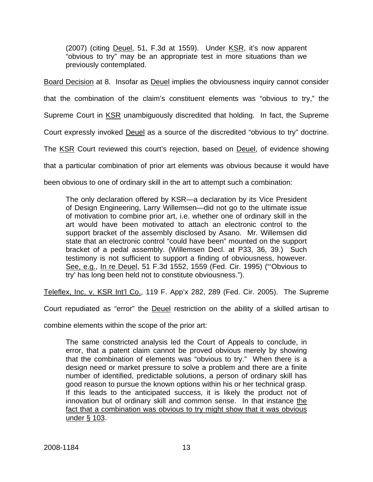(2007) (citing Deuel, 51, F.3d at 1559). Under KSR, it's now apparent "obvious to try" may be an appropriate test in more situations than we previously contemplated.

Board Decision at 8. Insofar as Deuel implies the obviousness inquiry cannot consider that the combination of the claim's constituent elements was "obvious to try," the Supreme Court in KSR unambiguously discredited that holding. In fact, the Supreme Court expressly invoked Deuel as a source of the discredited "obvious to try" doctrine. The KSR Court reviewed this court's rejection, based on Deuel, of evidence showing that a particular combination of prior art elements was obvious because it would have been obvious to one of ordinary skill in the art to attempt such a combination:

The only declaration offered by KSR—a declaration by its Vice President of Design Engineering, Larry Willemsen—did not go to the ultimate issue of motivation to combine prior art, i.e. whether one of ordinary skill in the art would have been motivated to attach an electronic control to the support bracket of the assembly disclosed by Asano. Mr. Willemsen did state that an electronic control "could have been" mounted on the support bracket of a pedal assembly. (Willemsen Decl. at P33, 36, 39.) Such testimony is not sufficient to support a finding of obviousness, however. See, e.g., In re Deuel, 51 F.3d 1552, 1559 (Fed. Cir. 1995) ("'Obvious to try' has long been held not to constitute obviousness.").

Teleflex, Inc. v. KSR Int'l Co., 119 F. App'x 282, 289 (Fed. Cir. 2005). The Supreme

Court repudiated as "error" the Deuel restriction on the ability of a skilled artisan to

combine elements within the scope of the prior art:

The same constricted analysis led the Court of Appeals to conclude, in error, that a patent claim cannot be proved obvious merely by showing that the combination of elements was "obvious to try." When there is a design need or market pressure to solve a problem and there are a finite number of identified, predictable solutions, a person of ordinary skill has good reason to pursue the known options within his or her technical grasp. If this leads to the anticipated success, it is likely the product not of innovation but of ordinary skill and common sense. In that instance the fact that a combination was obvious to try might show that it was obvious under § 103.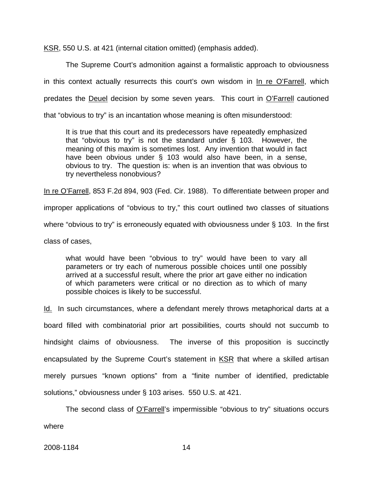KSR, 550 U.S. at 421 (internal citation omitted) (emphasis added).

 The Supreme Court's admonition against a formalistic approach to obviousness in this context actually resurrects this court's own wisdom in In re O'Farrell, which predates the Deuel decision by some seven years. This court in O'Farrell cautioned that "obvious to try" is an incantation whose meaning is often misunderstood:

It is true that this court and its predecessors have repeatedly emphasized that "obvious to try" is not the standard under § 103. However, the meaning of this maxim is sometimes lost. Any invention that would in fact have been obvious under § 103 would also have been, in a sense, obvious to try. The question is: when is an invention that was obvious to try nevertheless nonobvious?

In re O'Farrell, 853 F.2d 894, 903 (Fed. Cir. 1988). To differentiate between proper and improper applications of "obvious to try," this court outlined two classes of situations where "obvious to try" is erroneously equated with obviousness under § 103. In the first class of cases,

what would have been "obvious to try" would have been to vary all parameters or try each of numerous possible choices until one possibly arrived at a successful result, where the prior art gave either no indication of which parameters were critical or no direction as to which of many possible choices is likely to be successful.

Id. In such circumstances, where a defendant merely throws metaphorical darts at a board filled with combinatorial prior art possibilities, courts should not succumb to hindsight claims of obviousness. The inverse of this proposition is succinctly encapsulated by the Supreme Court's statement in KSR that where a skilled artisan merely pursues "known options" from a "finite number of identified, predictable solutions," obviousness under § 103 arises. 550 U.S. at 421.

The second class of O'Farrell's impermissible "obvious to try" situations occurs where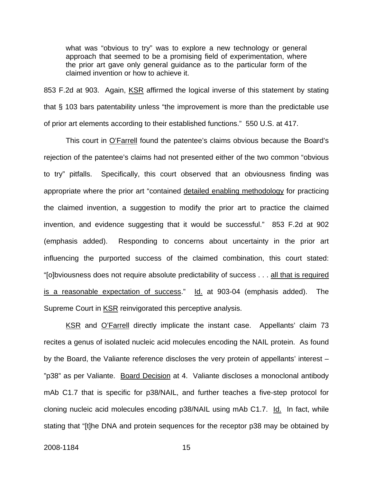what was "obvious to try" was to explore a new technology or general approach that seemed to be a promising field of experimentation, where the prior art gave only general guidance as to the particular form of the claimed invention or how to achieve it.

853 F.2d at 903. Again, KSR affirmed the logical inverse of this statement by stating that § 103 bars patentability unless "the improvement is more than the predictable use of prior art elements according to their established functions." 550 U.S. at 417.

 This court in O'Farrell found the patentee's claims obvious because the Board's rejection of the patentee's claims had not presented either of the two common "obvious to try" pitfalls. Specifically, this court observed that an obviousness finding was appropriate where the prior art "contained detailed enabling methodology for practicing the claimed invention, a suggestion to modify the prior art to practice the claimed invention, and evidence suggesting that it would be successful." 853 F.2d at 902 (emphasis added). Responding to concerns about uncertainty in the prior art influencing the purported success of the claimed combination, this court stated: "[o]bviousness does not require absolute predictability of success . . . all that is required is a reasonable expectation of success." Id. at 903-04 (emphasis added). The Supreme Court in KSR reinvigorated this perceptive analysis.

KSR and O'Farrell directly implicate the instant case. Appellants' claim 73 recites a genus of isolated nucleic acid molecules encoding the NAIL protein. As found by the Board, the Valiante reference discloses the very protein of appellants' interest – "p38" as per Valiante. Board Decision at 4. Valiante discloses a monoclonal antibody mAb C1.7 that is specific for p38/NAIL, and further teaches a five-step protocol for cloning nucleic acid molecules encoding p38/NAIL using mAb C1.7. Id. In fact, while stating that "[t]he DNA and protein sequences for the receptor p38 may be obtained by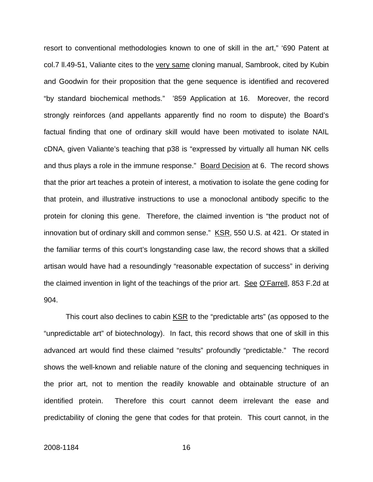resort to conventional methodologies known to one of skill in the art," '690 Patent at col.7 ll.49-51, Valiante cites to the very same cloning manual, Sambrook, cited by Kubin and Goodwin for their proposition that the gene sequence is identified and recovered "by standard biochemical methods." '859 Application at 16. Moreover, the record strongly reinforces (and appellants apparently find no room to dispute) the Board's factual finding that one of ordinary skill would have been motivated to isolate NAIL cDNA, given Valiante's teaching that p38 is "expressed by virtually all human NK cells and thus plays a role in the immune response." Board Decision at 6. The record shows that the prior art teaches a protein of interest, a motivation to isolate the gene coding for that protein, and illustrative instructions to use a monoclonal antibody specific to the protein for cloning this gene. Therefore, the claimed invention is "the product not of innovation but of ordinary skill and common sense." KSR, 550 U.S. at 421. Or stated in the familiar terms of this court's longstanding case law, the record shows that a skilled artisan would have had a resoundingly "reasonable expectation of success" in deriving the claimed invention in light of the teachings of the prior art. See O'Farrell, 853 F.2d at 904.

This court also declines to cabin KSR to the "predictable arts" (as opposed to the "unpredictable art" of biotechnology). In fact, this record shows that one of skill in this advanced art would find these claimed "results" profoundly "predictable." The record shows the well-known and reliable nature of the cloning and sequencing techniques in the prior art, not to mention the readily knowable and obtainable structure of an identified protein. Therefore this court cannot deem irrelevant the ease and predictability of cloning the gene that codes for that protein. This court cannot, in the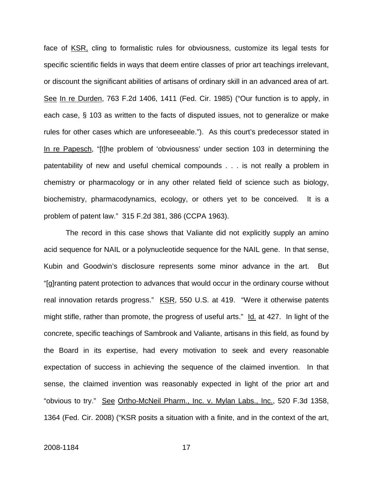face of KSR, cling to formalistic rules for obviousness, customize its legal tests for specific scientific fields in ways that deem entire classes of prior art teachings irrelevant, or discount the significant abilities of artisans of ordinary skill in an advanced area of art. See In re Durden, 763 F.2d 1406, 1411 (Fed. Cir. 1985) ("Our function is to apply, in each case, § 103 as written to the facts of disputed issues, not to generalize or make rules for other cases which are unforeseeable."). As this court's predecessor stated in In re Papesch, "[t]he problem of 'obviousness' under section 103 in determining the patentability of new and useful chemical compounds . . . is not really a problem in chemistry or pharmacology or in any other related field of science such as biology, biochemistry, pharmacodynamics, ecology, or others yet to be conceived. It is a problem of patent law." 315 F.2d 381, 386 (CCPA 1963).

The record in this case shows that Valiante did not explicitly supply an amino acid sequence for NAIL or a polynucleotide sequence for the NAIL gene. In that sense, Kubin and Goodwin's disclosure represents some minor advance in the art. But "[g]ranting patent protection to advances that would occur in the ordinary course without real innovation retards progress." KSR, 550 U.S. at 419. "Were it otherwise patents might stifle, rather than promote, the progress of useful arts." Id. at 427. In light of the concrete, specific teachings of Sambrook and Valiante, artisans in this field, as found by the Board in its expertise, had every motivation to seek and every reasonable expectation of success in achieving the sequence of the claimed invention. In that sense, the claimed invention was reasonably expected in light of the prior art and "obvious to try." See Ortho-McNeil Pharm., Inc. v. Mylan Labs., Inc., 520 F.3d 1358, 1364 (Fed. Cir. 2008) ("KSR posits a situation with a finite, and in the context of the art,